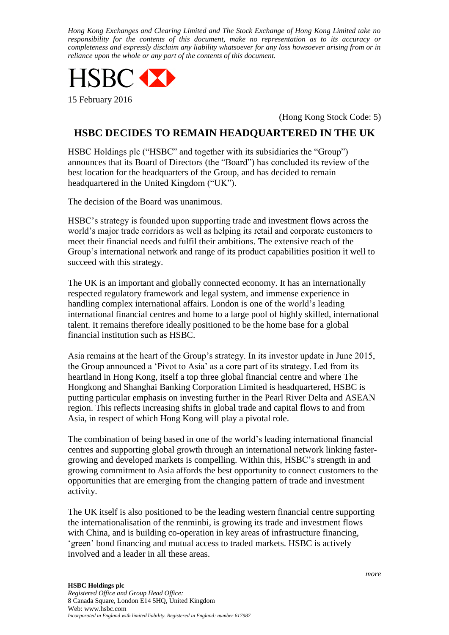*Hong Kong Exchanges and Clearing Limited and The Stock Exchange of Hong Kong Limited take no responsibility for the contents of this document, make no representation as to its accuracy or completeness and expressly disclaim any liability whatsoever for any loss howsoever arising from or in reliance upon the whole or any part of the contents of this document.*



(Hong Kong Stock Code: 5)

## **HSBC DECIDES TO REMAIN HEADQUARTERED IN THE UK**

HSBC Holdings plc ("HSBC" and together with its subsidiaries the "Group") announces that its Board of Directors (the "Board") has concluded its review of the best location for the headquarters of the Group, and has decided to remain headquartered in the United Kingdom ("UK").

The decision of the Board was unanimous.

HSBC's strategy is founded upon supporting trade and investment flows across the world's major trade corridors as well as helping its retail and corporate customers to meet their financial needs and fulfil their ambitions. The extensive reach of the Group's international network and range of its product capabilities position it well to succeed with this strategy.

The UK is an important and globally connected economy. It has an internationally respected regulatory framework and legal system, and immense experience in handling complex international affairs. London is one of the world's leading international financial centres and home to a large pool of highly skilled, international talent. It remains therefore ideally positioned to be the home base for a global financial institution such as HSBC.

Asia remains at the heart of the Group's strategy. In its investor update in June 2015, the Group announced a 'Pivot to Asia' as a core part of its strategy. Led from its heartland in Hong Kong, itself a top three global financial centre and where The Hongkong and Shanghai Banking Corporation Limited is headquartered, HSBC is putting particular emphasis on investing further in the Pearl River Delta and ASEAN region. This reflects increasing shifts in global trade and capital flows to and from Asia, in respect of which Hong Kong will play a pivotal role.

The combination of being based in one of the world's leading international financial centres and supporting global growth through an international network linking fastergrowing and developed markets is compelling. Within this, HSBC's strength in and growing commitment to Asia affords the best opportunity to connect customers to the opportunities that are emerging from the changing pattern of trade and investment activity.

The UK itself is also positioned to be the leading western financial centre supporting the internationalisation of the renminbi, is growing its trade and investment flows with China, and is building co-operation in key areas of infrastructure financing, 'green' bond financing and mutual access to traded markets. HSBC is actively involved and a leader in all these areas.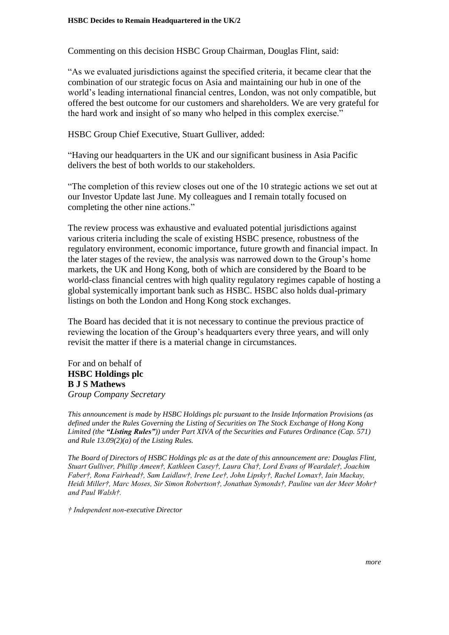Commenting on this decision HSBC Group Chairman, Douglas Flint, said:

"As we evaluated jurisdictions against the specified criteria, it became clear that the combination of our strategic focus on Asia and maintaining our hub in one of the world's leading international financial centres, London, was not only compatible, but offered the best outcome for our customers and shareholders. We are very grateful for the hard work and insight of so many who helped in this complex exercise."

HSBC Group Chief Executive, Stuart Gulliver, added:

"Having our headquarters in the UK and our significant business in Asia Pacific delivers the best of both worlds to our stakeholders.

"The completion of this review closes out one of the 10 strategic actions we set out at our Investor Update last June. My colleagues and I remain totally focused on completing the other nine actions."

The review process was exhaustive and evaluated potential jurisdictions against various criteria including the scale of existing HSBC presence, robustness of the regulatory environment, economic importance, future growth and financial impact. In the later stages of the review, the analysis was narrowed down to the Group's home markets, the UK and Hong Kong, both of which are considered by the Board to be world-class financial centres with high quality regulatory regimes capable of hosting a global systemically important bank such as HSBC. HSBC also holds dual-primary listings on both the London and Hong Kong stock exchanges.

The Board has decided that it is not necessary to continue the previous practice of reviewing the location of the Group's headquarters every three years, and will only revisit the matter if there is a material change in circumstances.

For and on behalf of **HSBC Holdings plc B J S Mathews** *Group Company Secretary*

*This announcement is made by HSBC Holdings plc pursuant to the Inside Information Provisions (as defined under the Rules Governing the Listing of Securities on The Stock Exchange of Hong Kong Limited (the "Listing Rules")) under Part XIVA of the Securities and Futures Ordinance (Cap. 571) and Rule 13.09(2)(a) of the Listing Rules.*

*The Board of Directors of HSBC Holdings plc as at the date of this announcement are: Douglas Flint, Stuart Gulliver, Phillip Ameen†, Kathleen Casey†, Laura Cha†, Lord Evans of Weardale†, Joachim Faber†, Rona Fairhead†, Sam Laidlaw†, Irene Lee†, John Lipsky†, Rachel Lomax†, Iain Mackay, Heidi Miller†, Marc Moses, Sir Simon Robertson†, Jonathan Symonds†, Pauline van der Meer Mohr† and Paul Walsh†.*

*† Independent non-executive Director*